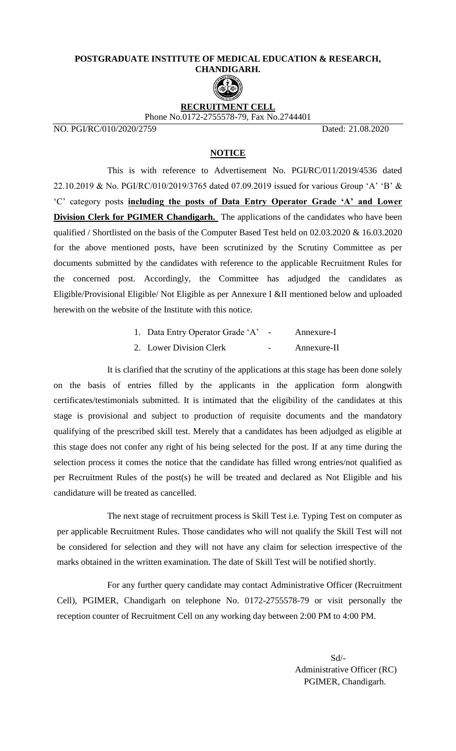## **POSTGRADUATE INSTITUTE OF MEDICAL EDUCATION & RESEARCH, CHANDIGARH.**



## **RECRUITMENT CELL** Phone No.0172-2755578-79, Fax No.2744401

NO. PGI/RC/010/2020/2759 Dated: 21.08.2020

## **NOTICE**

This is with reference to Advertisement No. PGI/RC/011/2019/4536 dated 22.10.2019 & No. PGI/RC/010/2019/3765 dated 07.09.2019 issued for various Group 'A' 'B' & 'C' category posts **including the posts of Data Entry Operator Grade 'A' and Lower Division Clerk for PGIMER Chandigarh.** The applications of the candidates who have been qualified / Shortlisted on the basis of the Computer Based Test held on 02.03.2020 & 16.03.2020 for the above mentioned posts, have been scrutinized by the Scrutiny Committee as per documents submitted by the candidates with reference to the applicable Recruitment Rules for the concerned post. Accordingly, the Committee has adjudged the candidates as Eligible/Provisional Eligible/ Not Eligible as per Annexure I &II mentioned below and uploaded herewith on the website of the Institute with this notice.

| 1. Data Entry Operator Grade 'A' |        | Annexure-I  |
|----------------------------------|--------|-------------|
| 2. Lower Division Clerk          | $\sim$ | Annexure-II |

It is clarified that the scrutiny of the applications at this stage has been done solely on the basis of entries filled by the applicants in the application form alongwith certificates/testimonials submitted. It is intimated that the eligibility of the candidates at this stage is provisional and subject to production of requisite documents and the mandatory qualifying of the prescribed skill test. Merely that a candidates has been adjudged as eligible at this stage does not confer any right of his being selected for the post. If at any time during the selection process it comes the notice that the candidate has filled wrong entries/not qualified as per Recruitment Rules of the post(s) he will be treated and declared as Not Eligible and his candidature will be treated as cancelled.

The next stage of recruitment process is Skill Test i.e. Typing Test on computer as per applicable Recruitment Rules. Those candidates who will not qualify the Skill Test will not be considered for selection and they will not have any claim for selection irrespective of the marks obtained in the written examination. The date of Skill Test will be notified shortly.

For any further query candidate may contact Administrative Officer (Recruitment Cell), PGIMER, Chandigarh on telephone No. 0172-2755578-79 or visit personally the reception counter of Recruitment Cell on any working day between 2:00 PM to 4:00 PM.

 Sd/- Administrative Officer (RC) PGIMER, Chandigarh.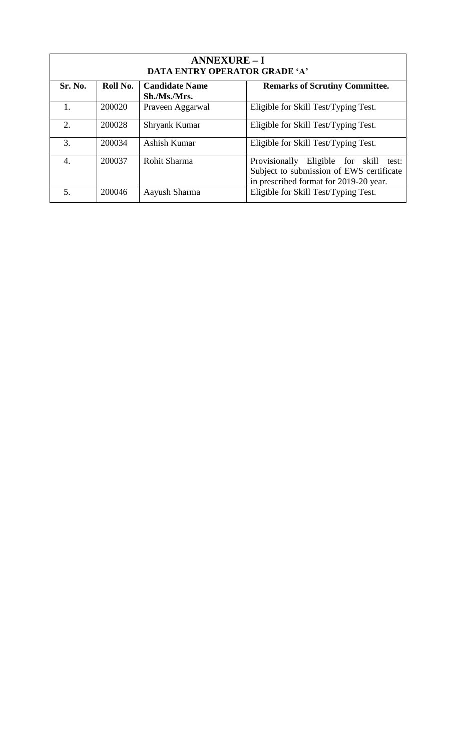| <b>ANNEXURE-I</b><br><b>DATA ENTRY OPERATOR GRADE 'A'</b> |          |                       |                                                                                                                                    |  |
|-----------------------------------------------------------|----------|-----------------------|------------------------------------------------------------------------------------------------------------------------------------|--|
| Sr. No.                                                   | Roll No. | <b>Candidate Name</b> | <b>Remarks of Scrutiny Committee.</b>                                                                                              |  |
|                                                           |          | Sh./Ms./Mrs.          |                                                                                                                                    |  |
|                                                           | 200020   | Praveen Aggarwal      | Eligible for Skill Test/Typing Test.                                                                                               |  |
| $\mathcal{D}_{\alpha}$                                    | 200028   | Shryank Kumar         | Eligible for Skill Test/Typing Test.                                                                                               |  |
| 3.                                                        | 200034   | Ashish Kumar          | Eligible for Skill Test/Typing Test.                                                                                               |  |
| $\overline{4}$ .                                          | 200037   | Rohit Sharma          | Provisionally<br>Eligible for skill<br>test:<br>Subject to submission of EWS certificate<br>in prescribed format for 2019-20 year. |  |
| 5.                                                        | 200046   | Aayush Sharma         | Eligible for Skill Test/Typing Test.                                                                                               |  |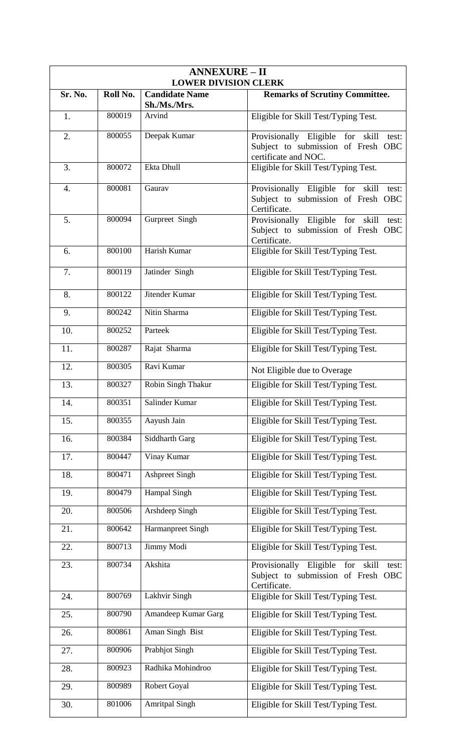| <b>ANNEXURE - II</b><br><b>LOWER DIVISION CLERK</b> |          |                        |                                                                                                            |  |
|-----------------------------------------------------|----------|------------------------|------------------------------------------------------------------------------------------------------------|--|
| Sr. No.                                             | Roll No. | <b>Candidate Name</b>  | <b>Remarks of Scrutiny Committee.</b>                                                                      |  |
| 1.                                                  | 800019   | Sh./Ms./Mrs.<br>Arvind | Eligible for Skill Test/Typing Test.                                                                       |  |
| 2.                                                  | 800055   | Deepak Kumar           | Provisionally Eligible for<br>skill<br>test:<br>Subject to submission of Fresh OBC<br>certificate and NOC. |  |
| 3.                                                  | 800072   | Ekta Dhull             | Eligible for Skill Test/Typing Test.                                                                       |  |
| $\overline{4}$ .                                    | 800081   | Gaurav                 | Provisionally Eligible for<br>skill<br>test:<br>Subject to submission of Fresh OBC<br>Certificate.         |  |
| 5.                                                  | 800094   | Gurpreet Singh         | Provisionally Eligible for<br>skill<br>test:<br>Subject to submission of Fresh OBC<br>Certificate.         |  |
| 6.                                                  | 800100   | Harish Kumar           | Eligible for Skill Test/Typing Test.                                                                       |  |
| 7.                                                  | 800119   | Jatinder Singh         | Eligible for Skill Test/Typing Test.                                                                       |  |
| 8.                                                  | 800122   | Jitender Kumar         | Eligible for Skill Test/Typing Test.                                                                       |  |
| 9.                                                  | 800242   | Nitin Sharma           | Eligible for Skill Test/Typing Test.                                                                       |  |
| 10.                                                 | 800252   | Parteek                | Eligible for Skill Test/Typing Test.                                                                       |  |
| 11.                                                 | 800287   | Rajat Sharma           | Eligible for Skill Test/Typing Test.                                                                       |  |
| 12.                                                 | 800305   | Ravi Kumar             | Not Eligible due to Overage                                                                                |  |
| 13.                                                 | 800327   | Robin Singh Thakur     | Eligible for Skill Test/Typing Test.                                                                       |  |
| 14.                                                 | 800351   | Salinder Kumar         | Eligible for Skill Test/Typing Test.                                                                       |  |
| 15.                                                 | 800355   | Aayush Jain            | Eligible for Skill Test/Typing Test.                                                                       |  |
| 16.                                                 | 800384   | Siddharth Garg         | Eligible for Skill Test/Typing Test.                                                                       |  |
| 17.                                                 | 800447   | Vinay Kumar            | Eligible for Skill Test/Typing Test.                                                                       |  |
| 18.                                                 | 800471   | <b>Ashpreet Singh</b>  | Eligible for Skill Test/Typing Test.                                                                       |  |
| 19.                                                 | 800479   | Hampal Singh           | Eligible for Skill Test/Typing Test.                                                                       |  |
| 20.                                                 | 800506   | Arshdeep Singh         | Eligible for Skill Test/Typing Test.                                                                       |  |
| 21.                                                 | 800642   | Harmanpreet Singh      | Eligible for Skill Test/Typing Test.                                                                       |  |
| 22.                                                 | 800713   | Jimmy Modi             | Eligible for Skill Test/Typing Test.                                                                       |  |
| 23.                                                 | 800734   | Akshita                | Provisionally Eligible<br>for<br>skill<br>test:<br>Subject to submission of Fresh OBC<br>Certificate.      |  |
| 24.                                                 | 800769   | Lakhvir Singh          | Eligible for Skill Test/Typing Test.                                                                       |  |
| 25.                                                 | 800790   | Amandeep Kumar Garg    | Eligible for Skill Test/Typing Test.                                                                       |  |
| 26.                                                 | 800861   | Aman Singh Bist        | Eligible for Skill Test/Typing Test.                                                                       |  |
| 27.                                                 | 800906   | <b>Prabhjot Singh</b>  | Eligible for Skill Test/Typing Test.                                                                       |  |
| 28.                                                 | 800923   | Radhika Mohindroo      | Eligible for Skill Test/Typing Test.                                                                       |  |
| 29.                                                 | 800989   | Robert Goyal           | Eligible for Skill Test/Typing Test.                                                                       |  |
| 30.                                                 | 801006   | <b>Amritpal Singh</b>  | Eligible for Skill Test/Typing Test.                                                                       |  |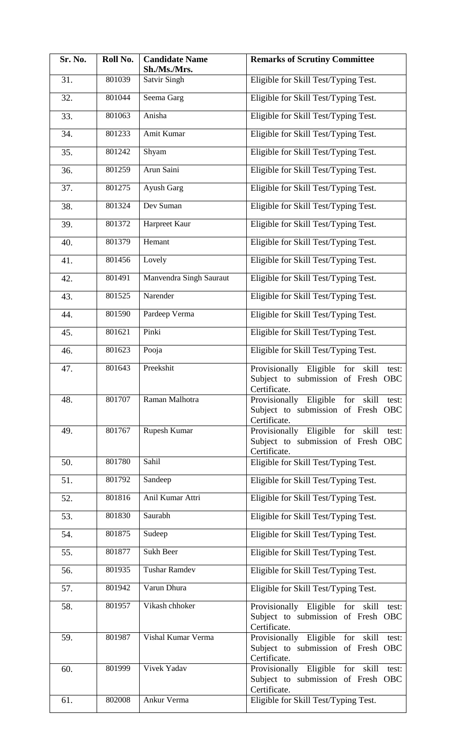| Sr. No. | Roll No. | <b>Candidate Name</b><br>Sh./Ms./Mrs. | <b>Remarks of Scrutiny Committee</b>                                                                         |
|---------|----------|---------------------------------------|--------------------------------------------------------------------------------------------------------------|
| 31.     | 801039   | <b>Satvir Singh</b>                   | Eligible for Skill Test/Typing Test.                                                                         |
| 32.     | 801044   | Seema Garg                            | Eligible for Skill Test/Typing Test.                                                                         |
| 33.     | 801063   | Anisha                                | Eligible for Skill Test/Typing Test.                                                                         |
| 34.     | 801233   | Amit Kumar                            | Eligible for Skill Test/Typing Test.                                                                         |
| 35.     | 801242   | Shyam                                 | Eligible for Skill Test/Typing Test.                                                                         |
| 36.     | 801259   | Arun Saini                            | Eligible for Skill Test/Typing Test.                                                                         |
| 37.     | 801275   | Ayush Garg                            | Eligible for Skill Test/Typing Test.                                                                         |
| 38.     | 801324   | Dev Suman                             | Eligible for Skill Test/Typing Test.                                                                         |
| 39.     | 801372   | Harpreet Kaur                         | Eligible for Skill Test/Typing Test.                                                                         |
| 40.     | 801379   | Hemant                                | Eligible for Skill Test/Typing Test.                                                                         |
| 41.     | 801456   | Lovely                                | Eligible for Skill Test/Typing Test.                                                                         |
| 42.     | 801491   | Manvendra Singh Sauraut               | Eligible for Skill Test/Typing Test.                                                                         |
| 43.     | 801525   | Narender                              | Eligible for Skill Test/Typing Test.                                                                         |
| 44.     | 801590   | Pardeep Verma                         | Eligible for Skill Test/Typing Test.                                                                         |
| 45.     | 801621   | Pinki                                 | Eligible for Skill Test/Typing Test.                                                                         |
| 46.     | 801623   | Pooja                                 | Eligible for Skill Test/Typing Test.                                                                         |
| 47.     | 801643   | Preekshit                             | Provisionally Eligible<br>for<br>skill<br>test:<br>Subject to submission of Fresh OBC<br>Certificate.        |
| 48.     | 801707   | Raman Malhotra                        | Provisionally Eligible for skill<br>test:<br>Subject to submission of Fresh OBC<br>Certificate.              |
| 49.     | 801767   | Rupesh Kumar                          | Provisionally Eligible for<br>skill<br>test:<br>Subject to submission of Fresh OBC<br>Certificate.           |
| 50.     | 801780   | Sahil                                 | Eligible for Skill Test/Typing Test.                                                                         |
| 51.     | 801792   | Sandeep                               | Eligible for Skill Test/Typing Test.                                                                         |
| 52.     | 801816   | Anil Kumar Attri                      | Eligible for Skill Test/Typing Test.                                                                         |
| 53.     | 801830   | Saurabh                               | Eligible for Skill Test/Typing Test.                                                                         |
| 54.     | 801875   | Sudeep                                | Eligible for Skill Test/Typing Test.                                                                         |
| 55.     | 801877   | <b>Sukh Beer</b>                      | Eligible for Skill Test/Typing Test.                                                                         |
| 56.     | 801935   | Tushar Ramdev                         | Eligible for Skill Test/Typing Test.                                                                         |
| 57.     | 801942   | Varun Dhura                           | Eligible for Skill Test/Typing Test.                                                                         |
| 58.     | 801957   | Vikash chhoker                        | Provisionally Eligible for<br>skill<br>test:<br>Subject to submission of Fresh OBC<br>Certificate.           |
| 59.     | 801987   | Vishal Kumar Verma                    | Provisionally Eligible for<br>skill<br>test:<br>Subject to submission of Fresh<br><b>OBC</b><br>Certificate. |
| 60.     | 801999   | Vivek Yadav                           | Provisionally Eligible for<br>skill<br>test:<br>Subject to submission of Fresh OBC<br>Certificate.           |
| 61.     | 802008   | Ankur Verma                           | Eligible for Skill Test/Typing Test.                                                                         |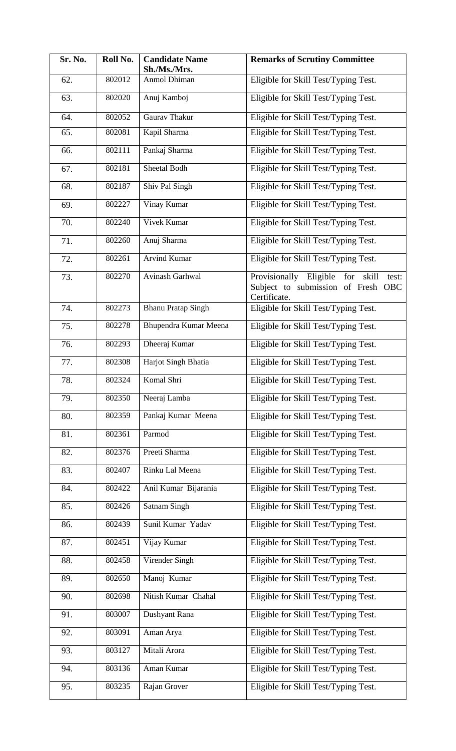| Sr. No. | Roll No. | <b>Candidate Name</b><br>Sh./Ms./Mrs. | <b>Remarks of Scrutiny Committee</b>                                                                  |
|---------|----------|---------------------------------------|-------------------------------------------------------------------------------------------------------|
| 62.     | 802012   | Anmol Dhiman                          | Eligible for Skill Test/Typing Test.                                                                  |
| 63.     | 802020   | Anuj Kamboj                           | Eligible for Skill Test/Typing Test.                                                                  |
| 64.     | 802052   | Gaurav Thakur                         | Eligible for Skill Test/Typing Test.                                                                  |
| 65.     | 802081   | Kapil Sharma                          | Eligible for Skill Test/Typing Test.                                                                  |
| 66.     | 802111   | Pankaj Sharma                         | Eligible for Skill Test/Typing Test.                                                                  |
| 67.     | 802181   | Sheetal Bodh                          | Eligible for Skill Test/Typing Test.                                                                  |
| 68.     | 802187   | Shiv Pal Singh                        | Eligible for Skill Test/Typing Test.                                                                  |
| 69.     | 802227   | Vinay Kumar                           | Eligible for Skill Test/Typing Test.                                                                  |
| 70.     | 802240   | Vivek Kumar                           | Eligible for Skill Test/Typing Test.                                                                  |
| 71.     | 802260   | Anuj Sharma                           | Eligible for Skill Test/Typing Test.                                                                  |
| 72.     | 802261   | <b>Arvind Kumar</b>                   | Eligible for Skill Test/Typing Test.                                                                  |
| 73.     | 802270   | Avinash Garhwal                       | Provisionally Eligible<br>for<br>skill<br>test:<br>Subject to submission of Fresh OBC<br>Certificate. |
| 74.     | 802273   | <b>Bhanu Pratap Singh</b>             | Eligible for Skill Test/Typing Test.                                                                  |
| 75.     | 802278   | Bhupendra Kumar Meena                 | Eligible for Skill Test/Typing Test.                                                                  |
| 76.     | 802293   | Dheeraj Kumar                         | Eligible for Skill Test/Typing Test.                                                                  |
| 77.     | 802308   | Harjot Singh Bhatia                   | Eligible for Skill Test/Typing Test.                                                                  |
| 78.     | 802324   | Komal Shri                            | Eligible for Skill Test/Typing Test.                                                                  |
| 79.     | 802350   | Neeraj Lamba                          | Eligible for Skill Test/Typing Test.                                                                  |
| 80.     | 802359   | Pankaj Kumar Meena                    | Eligible for Skill Test/Typing Test.                                                                  |
| 81.     | 802361   | Parmod                                | Eligible for Skill Test/Typing Test.                                                                  |
| 82.     | 802376   | Preeti Sharma                         | Eligible for Skill Test/Typing Test.                                                                  |
| 83.     | 802407   | Rinku Lal Meena                       | Eligible for Skill Test/Typing Test.                                                                  |
| 84.     | 802422   | Anil Kumar Bijarania                  | Eligible for Skill Test/Typing Test.                                                                  |
| 85.     | 802426   | <b>Satnam Singh</b>                   | Eligible for Skill Test/Typing Test.                                                                  |
| 86.     | 802439   | Sunil Kumar Yadav                     | Eligible for Skill Test/Typing Test.                                                                  |
| 87.     | 802451   | Vijay Kumar                           | Eligible for Skill Test/Typing Test.                                                                  |
| 88.     | 802458   | Virender Singh                        | Eligible for Skill Test/Typing Test.                                                                  |
| 89.     | 802650   | Manoj Kumar                           | Eligible for Skill Test/Typing Test.                                                                  |
| 90.     | 802698   | Nitish Kumar Chahal                   | Eligible for Skill Test/Typing Test.                                                                  |
| 91.     | 803007   | Dushyant Rana                         | Eligible for Skill Test/Typing Test.                                                                  |
| 92.     | 803091   | Aman Arya                             | Eligible for Skill Test/Typing Test.                                                                  |
| 93.     | 803127   | Mitali Arora                          | Eligible for Skill Test/Typing Test.                                                                  |
| 94.     | 803136   | Aman Kumar                            | Eligible for Skill Test/Typing Test.                                                                  |
| 95.     | 803235   | Rajan Grover                          | Eligible for Skill Test/Typing Test.                                                                  |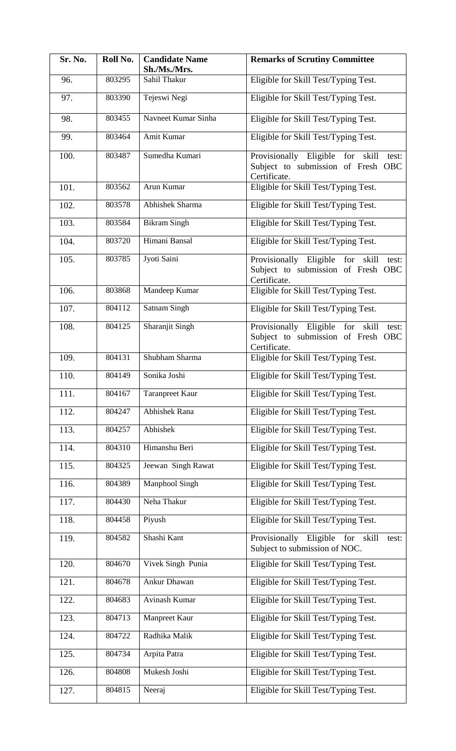| Sr. No. | Roll No. | <b>Candidate Name</b><br>Sh./Ms./Mrs. | <b>Remarks of Scrutiny Committee</b>                                                                  |
|---------|----------|---------------------------------------|-------------------------------------------------------------------------------------------------------|
| 96.     | 803295   | Sahil Thakur                          | Eligible for Skill Test/Typing Test.                                                                  |
| 97.     | 803390   | Tejeswi Negi                          | Eligible for Skill Test/Typing Test.                                                                  |
| 98.     | 803455   | Navneet Kumar Sinha                   | Eligible for Skill Test/Typing Test.                                                                  |
| 99.     | 803464   | Amit Kumar                            | Eligible for Skill Test/Typing Test.                                                                  |
| 100.    | 803487   | Sumedha Kumari                        | Provisionally Eligible<br>for<br>skill<br>test:<br>Subject to submission of Fresh OBC<br>Certificate. |
| 101.    | 803562   | Arun Kumar                            | Eligible for Skill Test/Typing Test.                                                                  |
| 102.    | 803578   | Abhishek Sharma                       | Eligible for Skill Test/Typing Test.                                                                  |
| 103.    | 803584   | <b>Bikram Singh</b>                   | Eligible for Skill Test/Typing Test.                                                                  |
| 104.    | 803720   | Himani Bansal                         | Eligible for Skill Test/Typing Test.                                                                  |
| 105.    | 803785   | Jyoti Saini                           | Provisionally Eligible<br>for<br>skill<br>test:<br>Subject to submission of Fresh OBC<br>Certificate. |
| 106.    | 803868   | Mandeep Kumar                         | Eligible for Skill Test/Typing Test.                                                                  |
| 107.    | 804112   | <b>Satnam Singh</b>                   | Eligible for Skill Test/Typing Test.                                                                  |
| 108.    | 804125   | Sharanjit Singh                       | Provisionally Eligible for<br>skill<br>test:<br>Subject to submission of Fresh OBC<br>Certificate.    |
| 109.    | 804131   | Shubham Sharma                        | Eligible for Skill Test/Typing Test.                                                                  |
| 110.    | 804149   | Sonika Joshi                          | Eligible for Skill Test/Typing Test.                                                                  |
| 111.    | 804167   | <b>Taranpreet Kaur</b>                | Eligible for Skill Test/Typing Test.                                                                  |
| 112.    | 804247   | <b>Abhishek Rana</b>                  | Eligible for Skill Test/Typing Test.                                                                  |
| 113.    | 804257   | Abhishek                              | Eligible for Skill Test/Typing Test.                                                                  |
| 114.    | 804310   | Himanshu Beri                         | Eligible for Skill Test/Typing Test.                                                                  |
| 115.    | 804325   | Jeewan Singh Rawat                    | Eligible for Skill Test/Typing Test.                                                                  |
| 116.    | 804389   | Manphool Singh                        | Eligible for Skill Test/Typing Test.                                                                  |
| 117.    | 804430   | Neha Thakur                           | Eligible for Skill Test/Typing Test.                                                                  |
| 118.    | 804458   | Piyush                                | Eligible for Skill Test/Typing Test.                                                                  |
| 119.    | 804582   | Shashi Kant                           | Provisionally Eligible for<br>skill<br>test:<br>Subject to submission of NOC.                         |
| 120.    | 804670   | Vivek Singh Punia                     | Eligible for Skill Test/Typing Test.                                                                  |
| 121.    | 804678   | Ankur Dhawan                          | Eligible for Skill Test/Typing Test.                                                                  |
| 122.    | 804683   | <b>Avinash Kumar</b>                  | Eligible for Skill Test/Typing Test.                                                                  |
| 123.    | 804713   | Manpreet Kaur                         | Eligible for Skill Test/Typing Test.                                                                  |
| 124.    | 804722   | Radhika Malik                         | Eligible for Skill Test/Typing Test.                                                                  |
| 125.    | 804734   | Arpita Patra                          | Eligible for Skill Test/Typing Test.                                                                  |
| 126.    | 804808   | Mukesh Joshi                          | Eligible for Skill Test/Typing Test.                                                                  |
| 127.    | 804815   | Neeraj                                | Eligible for Skill Test/Typing Test.                                                                  |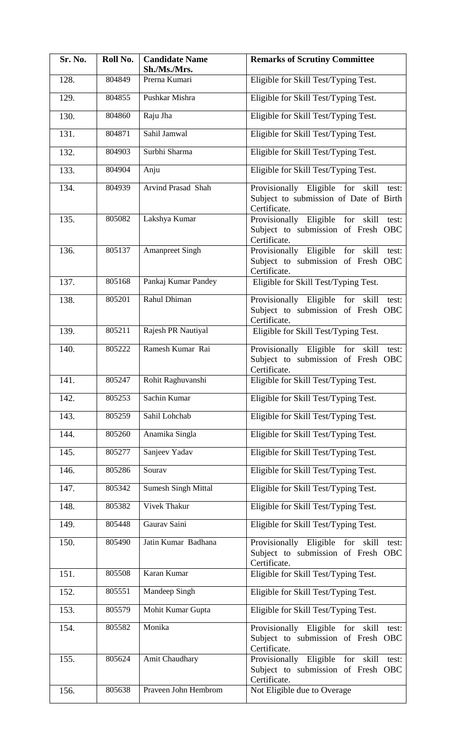| Sr. No. | Roll No. | <b>Candidate Name</b><br>Sh./Ms./Mrs. | <b>Remarks of Scrutiny Committee</b>                                                                   |
|---------|----------|---------------------------------------|--------------------------------------------------------------------------------------------------------|
| 128.    | 804849   | Prerna Kumari                         | Eligible for Skill Test/Typing Test.                                                                   |
| 129.    | 804855   | Pushkar Mishra                        | Eligible for Skill Test/Typing Test.                                                                   |
| 130.    | 804860   | Raju Jha                              | Eligible for Skill Test/Typing Test.                                                                   |
| 131.    | 804871   | Sahil Jamwal                          | Eligible for Skill Test/Typing Test.                                                                   |
| 132.    | 804903   | Surbhi Sharma                         | Eligible for Skill Test/Typing Test.                                                                   |
| 133.    | 804904   | Anju                                  | Eligible for Skill Test/Typing Test.                                                                   |
| 134.    | 804939   | Arvind Prasad Shah                    | Provisionally Eligible for<br>skill<br>test:<br>Subject to submission of Date of Birth<br>Certificate. |
| 135.    | 805082   | Lakshya Kumar                         | Provisionally Eligible for<br>skill<br>test:<br>Subject to submission of Fresh OBC<br>Certificate.     |
| 136.    | 805137   | <b>Amanpreet Singh</b>                | Provisionally Eligible for<br>skill<br>test:<br>Subject to submission of Fresh OBC<br>Certificate.     |
| 137.    | 805168   | Pankaj Kumar Pandey                   | Eligible for Skill Test/Typing Test.                                                                   |
| 138.    | 805201   | Rahul Dhiman                          | Provisionally Eligible for skill<br>test:<br>Subject to submission of Fresh OBC<br>Certificate.        |
| 139.    | 805211   | Rajesh PR Nautiyal                    | Eligible for Skill Test/Typing Test.                                                                   |
| 140.    | 805222   | Ramesh Kumar Rai                      | Provisionally Eligible for<br>skill<br>test:<br>Subject to submission of Fresh OBC<br>Certificate.     |
| 141.    | 805247   | Rohit Raghuvanshi                     | Eligible for Skill Test/Typing Test.                                                                   |
| 142.    | 805253   | Sachin Kumar                          | Eligible for Skill Test/Typing Test.                                                                   |
| 143.    | 805259   | Sahil Lohchab                         | Eligible for Skill Test/Typing Test.                                                                   |
| 144.    | 805260   | Anamika Singla                        | Eligible for Skill Test/Typing Test.                                                                   |
| 145.    | 805277   | Sanjeev Yadav                         | Eligible for Skill Test/Typing Test.                                                                   |
| 146.    | 805286   | Sourav                                | Eligible for Skill Test/Typing Test.                                                                   |
| 147.    | 805342   | <b>Sumesh Singh Mittal</b>            | Eligible for Skill Test/Typing Test.                                                                   |
| 148.    | 805382   | <b>Vivek Thakur</b>                   | Eligible for Skill Test/Typing Test.                                                                   |
| 149.    | 805448   | Gaurav Saini                          | Eligible for Skill Test/Typing Test.                                                                   |
| 150.    | 805490   | Jatin Kumar Badhana                   | Provisionally Eligible for<br>skill<br>test:<br>Subject to submission of Fresh OBC<br>Certificate.     |
| 151.    | 805508   | Karan Kumar                           | Eligible for Skill Test/Typing Test.                                                                   |
| 152.    | 805551   | Mandeep Singh                         | Eligible for Skill Test/Typing Test.                                                                   |
| 153.    | 805579   | Mohit Kumar Gupta                     | Eligible for Skill Test/Typing Test.                                                                   |
| 154.    | 805582   | Monika                                | Provisionally Eligible for<br>skill<br>test:<br>Subject to submission of Fresh OBC<br>Certificate.     |
| 155.    | 805624   | Amit Chaudhary                        | Provisionally Eligible for<br>skill<br>test:<br>Subject to submission of Fresh OBC<br>Certificate.     |
| 156.    | 805638   | Praveen John Hembrom                  | Not Eligible due to Overage                                                                            |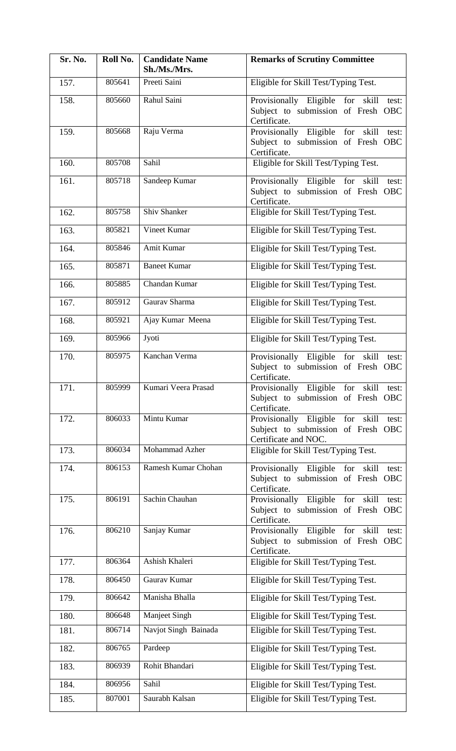| Sr. No. | Roll No.         | <b>Candidate Name</b><br>Sh./Ms./Mrs. | <b>Remarks of Scrutiny Committee</b>                                                                       |
|---------|------------------|---------------------------------------|------------------------------------------------------------------------------------------------------------|
| 157.    | 805641           | Preeti Saini                          | Eligible for Skill Test/Typing Test.                                                                       |
| 158.    | 805660<br>805668 | Rahul Saini                           | Provisionally Eligible for<br>skill<br>test:<br>Subject to submission of Fresh OBC<br>Certificate.         |
| 159.    |                  | Raju Verma                            | Provisionally Eligible for<br>skill<br>test:<br>Subject to submission of Fresh OBC<br>Certificate.         |
| 160.    | 805708           | Sahil                                 | Eligible for Skill Test/Typing Test.                                                                       |
| 161.    | 805718           | Sandeep Kumar                         | Provisionally Eligible for<br>skill<br>test:<br>Subject to submission of Fresh OBC<br>Certificate.         |
| 162.    | 805758           | Shiv Shanker                          | Eligible for Skill Test/Typing Test.                                                                       |
| 163.    | 805821           | Vineet Kumar                          | Eligible for Skill Test/Typing Test.                                                                       |
| 164.    | 805846           | Amit Kumar                            | Eligible for Skill Test/Typing Test.                                                                       |
| 165.    | 805871           | <b>Baneet Kumar</b>                   | Eligible for Skill Test/Typing Test.                                                                       |
| 166.    | 805885           | Chandan Kumar                         | Eligible for Skill Test/Typing Test.                                                                       |
| 167.    | 805912           | Gaurav Sharma                         | Eligible for Skill Test/Typing Test.                                                                       |
| 168.    | 805921           | Ajay Kumar Meena                      | Eligible for Skill Test/Typing Test.                                                                       |
| 169.    | 805966           | Jyoti                                 | Eligible for Skill Test/Typing Test.                                                                       |
| 170.    | 805975           | Kanchan Verma                         | Provisionally Eligible<br>for<br>skill<br>test:<br>Subject to submission of Fresh OBC<br>Certificate.      |
| 171.    | 805999           | Kumari Veera Prasad                   | Provisionally Eligible for skill test:<br>Subject to submission of Fresh OBC<br>Certificate.               |
| 172.    | 806033           | Mintu Kumar                           | Provisionally Eligible for<br>skill<br>test:<br>Subject to submission of Fresh OBC<br>Certificate and NOC. |
| 173.    | 806034           | <b>Mohammad Azher</b>                 | Eligible for Skill Test/Typing Test.                                                                       |
| 174.    | 806153           | Ramesh Kumar Chohan                   | Provisionally Eligible<br>for<br>skill<br>test:<br>Subject to submission of Fresh OBC<br>Certificate.      |
| 175.    | 806191           | Sachin Chauhan                        | Provisionally Eligible<br>for<br>skill<br>test:<br>Subject to submission of Fresh OBC<br>Certificate.      |
| 176.    | 806210           | Sanjay Kumar                          | Provisionally Eligible<br>for<br>skill<br>test:<br>Subject to submission of Fresh OBC<br>Certificate.      |
| 177.    | 806364           | Ashish Khaleri                        | Eligible for Skill Test/Typing Test.                                                                       |
| 178.    | 806450           | Gaurav Kumar                          | Eligible for Skill Test/Typing Test.                                                                       |
| 179.    | 806642           | Manisha Bhalla                        | Eligible for Skill Test/Typing Test.                                                                       |
| 180.    | 806648           | Manjeet Singh                         | Eligible for Skill Test/Typing Test.                                                                       |
| 181.    | 806714           | Navjot Singh Bainada                  | Eligible for Skill Test/Typing Test.                                                                       |
| 182.    | 806765           | Pardeep                               | Eligible for Skill Test/Typing Test.                                                                       |
| 183.    | 806939           | Rohit Bhandari                        | Eligible for Skill Test/Typing Test.                                                                       |
| 184.    | 806956           | Sahil                                 | Eligible for Skill Test/Typing Test.                                                                       |
| 185.    | 807001           | Saurabh Kalsan                        | Eligible for Skill Test/Typing Test.                                                                       |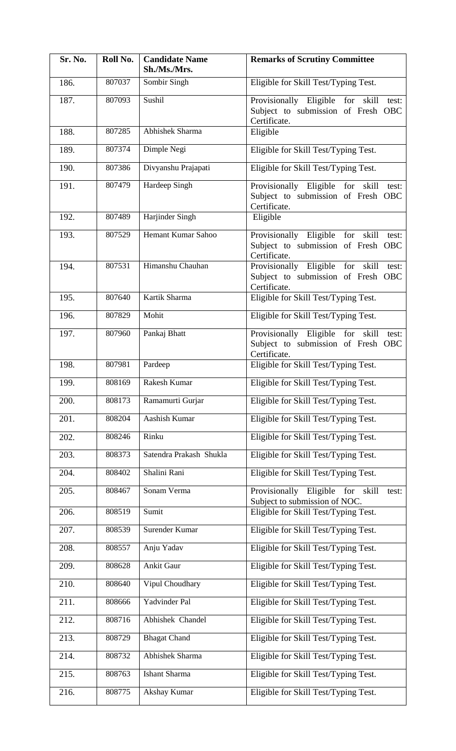| Sr. No. | Roll No. | <b>Candidate Name</b><br>Sh./Ms./Mrs. | <b>Remarks of Scrutiny Committee</b>                                                               |
|---------|----------|---------------------------------------|----------------------------------------------------------------------------------------------------|
| 186.    | 807037   | Sombir Singh                          | Eligible for Skill Test/Typing Test.                                                               |
| 187.    | 807093   | Sushil                                | Provisionally Eligible for<br>skill<br>test:<br>Subject to submission of Fresh OBC<br>Certificate. |
| 188.    | 807285   | Abhishek Sharma                       | Eligible                                                                                           |
| 189.    | 807374   | Dimple Negi                           | Eligible for Skill Test/Typing Test.                                                               |
| 190.    | 807386   | Divyanshu Prajapati                   | Eligible for Skill Test/Typing Test.                                                               |
| 191.    | 807479   | Hardeep Singh                         | Provisionally Eligible for<br>skill<br>test:<br>Subject to submission of Fresh OBC<br>Certificate. |
| 192.    | 807489   | Harjinder Singh                       | Eligible                                                                                           |
| 193.    | 807529   | <b>Hemant Kumar Sahoo</b>             | Provisionally Eligible for<br>skill<br>test:<br>Subject to submission of Fresh OBC<br>Certificate. |
| 194.    | 807531   | Himanshu Chauhan                      | Provisionally Eligible for<br>skill<br>test:<br>Subject to submission of Fresh OBC<br>Certificate. |
| 195.    | 807640   | Kartik Sharma                         | Eligible for Skill Test/Typing Test.                                                               |
| 196.    | 807829   | Mohit                                 | Eligible for Skill Test/Typing Test.                                                               |
| 197.    | 807960   | Pankaj Bhatt                          | Provisionally Eligible for<br>skill<br>test:<br>Subject to submission of Fresh OBC<br>Certificate. |
| 198.    | 807981   | Pardeep                               | Eligible for Skill Test/Typing Test.                                                               |
| 199.    | 808169   | Rakesh Kumar                          | Eligible for Skill Test/Typing Test.                                                               |
| 200.    | 808173   | Ramamurti Gurjar                      | Eligible for Skill Test/Typing Test.                                                               |
| 201.    | 808204   | Aashish Kumar                         | Eligible for Skill Test/Typing Test.                                                               |
| 202.    | 808246   | Rinku                                 | Eligible for Skill Test/Typing Test.                                                               |
| 203.    | 808373   | Satendra Prakash Shukla               | Eligible for Skill Test/Typing Test.                                                               |
| 204.    | 808402   | Shalini Rani                          | Eligible for Skill Test/Typing Test.                                                               |
| 205.    | 808467   | Sonam Verma                           | Provisionally Eligible for<br>skill<br>test:<br>Subject to submission of NOC.                      |
| 206.    | 808519   | Sumit                                 | Eligible for Skill Test/Typing Test.                                                               |
| 207.    | 808539   | Surender Kumar                        | Eligible for Skill Test/Typing Test.                                                               |
| 208.    | 808557   | Anju Yadav                            | Eligible for Skill Test/Typing Test.                                                               |
| 209.    | 808628   | Ankit Gaur                            | Eligible for Skill Test/Typing Test.                                                               |
| 210.    | 808640   | Vipul Choudhary                       | Eligible for Skill Test/Typing Test.                                                               |
| 211.    | 808666   | Yadvinder Pal                         | Eligible for Skill Test/Typing Test.                                                               |
| 212.    | 808716   | Abhishek Chandel                      | Eligible for Skill Test/Typing Test.                                                               |
| 213.    | 808729   | <b>Bhagat Chand</b>                   | Eligible for Skill Test/Typing Test.                                                               |
| 214.    | 808732   | Abhishek Sharma                       | Eligible for Skill Test/Typing Test.                                                               |
| 215.    | 808763   | Ishant Sharma                         | Eligible for Skill Test/Typing Test.                                                               |
| 216.    | 808775   | Akshay Kumar                          | Eligible for Skill Test/Typing Test.                                                               |